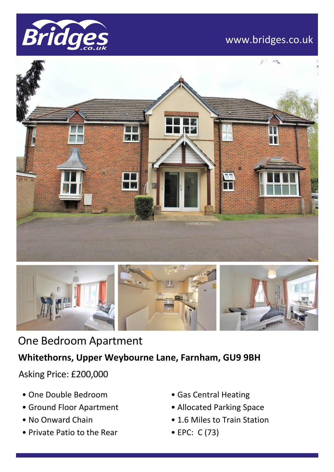

# www.bridges.co.uk





# One Bedroom Apartment

### **Whitethorns, Upper Weybourne Lane, Farnham, GU9 9BH**

Asking Price: £200,000

- One Double Bedroom
- Ground Floor Apartment
- No Onward Chain
- Private Patio to the Rear
- Gas Central Heating
- Allocated Parking Space
- 1.6 Miles to Train Station
- EPC: C (73)